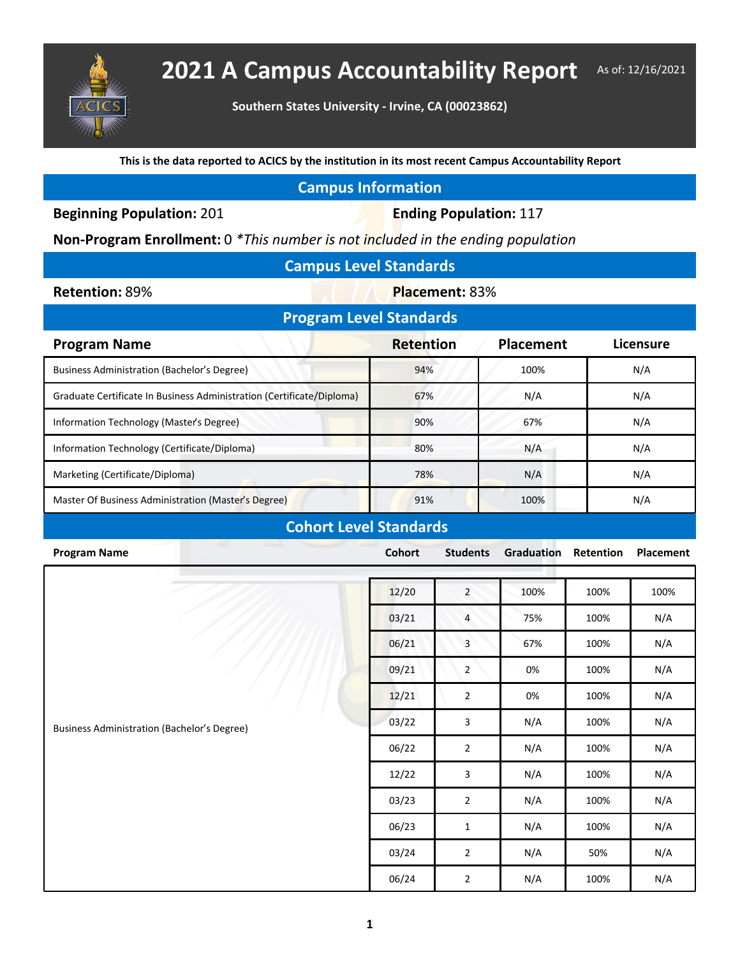

## **2021 A Campus Accountability Report** As of: 12/16/2021

**Southern States University - Irvine, CA (00023862)**

**This is the data reported to ACICS by the institution in its most recent Campus Accountability Report**

## **Campus Information**

**Beginning Population: 201 <b>Ending Population: 117** 

**Non-Program Enrollment:** 0 *\*This number is not included in the ending population*

| <b>Campus Level Standards</b> |  |  |
|-------------------------------|--|--|
|                               |  |  |

**Retention: 89% <b>Placement: 83%** 

| <b>Program Level Standards</b> |           |           |  |  |  |  |  |
|--------------------------------|-----------|-----------|--|--|--|--|--|
| <b>Retention</b>               | Placement | Licensure |  |  |  |  |  |
| 94%                            | 100%      | N/A       |  |  |  |  |  |
| 67%                            | N/A       | N/A       |  |  |  |  |  |
| 90%                            | 67%       | N/A       |  |  |  |  |  |
| 80%                            | N/A       | N/A       |  |  |  |  |  |
| 78%                            | N/A       | N/A       |  |  |  |  |  |
| 91%                            | 100%      | N/A       |  |  |  |  |  |
|                                |           |           |  |  |  |  |  |

## **Cohort Level Standards**

| -<br><b>Program Name</b>                           | Cohort | <b>Students</b> | Graduation | Retention | Placement |
|----------------------------------------------------|--------|-----------------|------------|-----------|-----------|
| <b>Business Administration (Bachelor's Degree)</b> |        |                 |            |           |           |
|                                                    | 12/20  | $\mathbf 2$     | 100%       | 100%      | 100%      |
|                                                    | 03/21  | 4               | 75%        | 100%      | N/A       |
|                                                    | 06/21  | $\mathbf{3}$    | 67%        | 100%      | N/A       |
|                                                    | 09/21  | $\overline{2}$  | 0%         | 100%      | N/A       |
|                                                    | 12/21  | $\overline{2}$  | 0%         | 100%      | N/A       |
|                                                    | 03/22  | $\mathsf{3}$    | N/A        | 100%      | N/A       |
|                                                    | 06/22  | $\mathbf{2}$    | N/A        | 100%      | N/A       |
|                                                    | 12/22  | 3               | N/A        | 100%      | N/A       |
|                                                    | 03/23  | $\overline{2}$  | N/A        | 100%      | N/A       |
|                                                    | 06/23  | $\mathbf{1}$    | N/A        | 100%      | N/A       |
|                                                    | 03/24  | $\overline{2}$  | N/A        | 50%       | N/A       |
|                                                    | 06/24  | $\mathbf{2}$    | N/A        | 100%      | N/A       |
|                                                    |        |                 |            |           |           |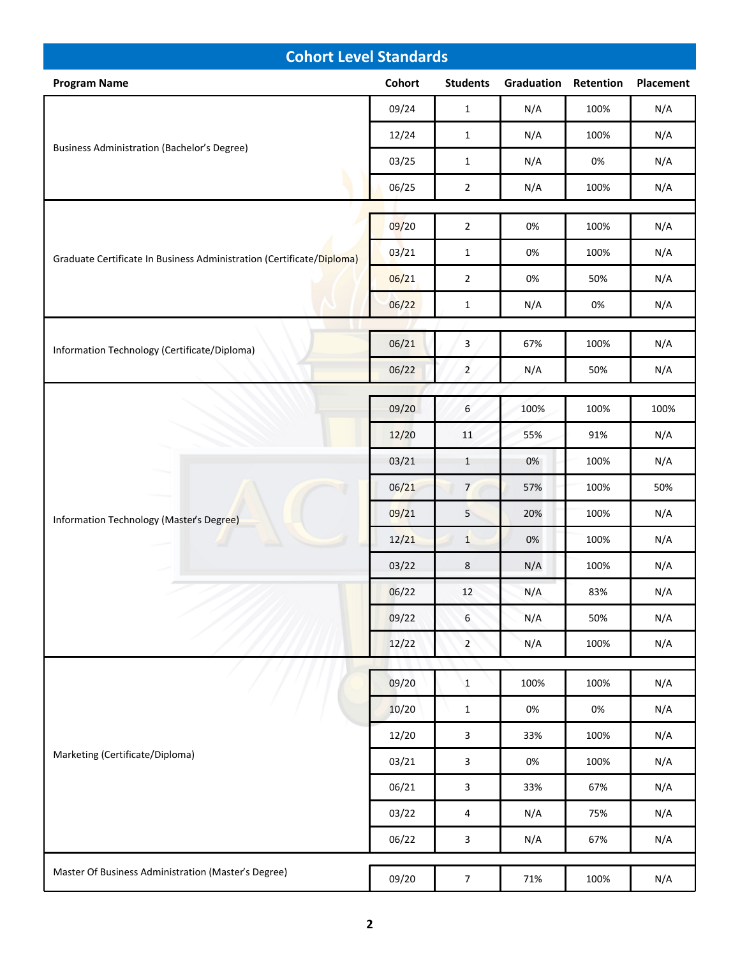| <b>Cohort Level Standards</b>                                         |        |                 |            |           |           |  |
|-----------------------------------------------------------------------|--------|-----------------|------------|-----------|-----------|--|
| <b>Program Name</b>                                                   | Cohort | <b>Students</b> | Graduation | Retention | Placement |  |
| <b>Business Administration (Bachelor's Degree)</b>                    | 09/24  | $\mathbf{1}$    | N/A        | 100%      | N/A       |  |
|                                                                       | 12/24  | $\mathbf{1}$    | N/A        | 100%      | N/A       |  |
|                                                                       | 03/25  | $\mathbf{1}$    | N/A        | 0%        | N/A       |  |
|                                                                       | 06/25  | $\overline{2}$  | N/A        | 100%      | N/A       |  |
|                                                                       | 09/20  | $\overline{2}$  | 0%         | 100%      | N/A       |  |
| Graduate Certificate In Business Administration (Certificate/Diploma) |        |                 |            |           |           |  |
|                                                                       | 03/21  | $\mathbf{1}$    | 0%         | 100%      | N/A       |  |
|                                                                       | 06/21  | $\overline{2}$  | 0%         | 50%       | N/A       |  |
|                                                                       | 06/22  | $\mathbf{1}$    | N/A        | 0%        | N/A       |  |
| Information Technology (Certificate/Diploma)                          | 06/21  | $\mathbf{3}$    | 67%        | 100%      | N/A       |  |
|                                                                       | 06/22  | $\overline{2}$  | N/A        | 50%       | N/A       |  |
|                                                                       |        |                 |            |           |           |  |
|                                                                       | 09/20  | 6               | 100%       | 100%      | 100%      |  |
|                                                                       | 12/20  | $11\,$          | 55%        | 91%       | N/A       |  |
|                                                                       | 03/21  | $\mathbf{1}$    | 0%         | 100%      | N/A       |  |
|                                                                       | 06/21  | $\overline{7}$  | 57%        | 100%      | 50%       |  |
| Information Technology (Master's Degree)                              | 09/21  | $\overline{5}$  | 20%        | 100%      | N/A       |  |
|                                                                       | 12/21  | $\mathbf{1}$    | 0%         | 100%      | N/A       |  |
|                                                                       | 03/22  | 8               | N/A        | 100%      | N/A       |  |
|                                                                       | 06/22  | 12              | N/A        | 83%       | N/A       |  |
|                                                                       | 09/22  | $\sqrt{6}$      | N/A        | 50%       | N/A       |  |
|                                                                       | 12/22  | $\overline{2}$  | N/A        | 100%      | N/A       |  |
|                                                                       | 09/20  | $\mathbf{1}$    | 100%       | 100%      | N/A       |  |
| Marketing (Certificate/Diploma)                                       |        |                 |            |           |           |  |
|                                                                       | 10/20  | $\mathbf{1}$    | 0%         | 0%        | N/A       |  |
|                                                                       | 12/20  | $\mathbf{3}$    | 33%        | 100%      | N/A       |  |
|                                                                       | 03/21  | $\mathbf{3}$    | 0%         | 100%      | N/A       |  |
|                                                                       | 06/21  | $\mathbf{3}$    | 33%        | 67%       | N/A       |  |
|                                                                       | 03/22  | $\overline{4}$  | N/A        | 75%       | N/A       |  |
|                                                                       | 06/22  | $\mathbf{3}$    | N/A        | 67%       | N/A       |  |
| Master Of Business Administration (Master's Degree)                   | 09/20  | $\overline{7}$  | 71%        | 100%      | N/A       |  |